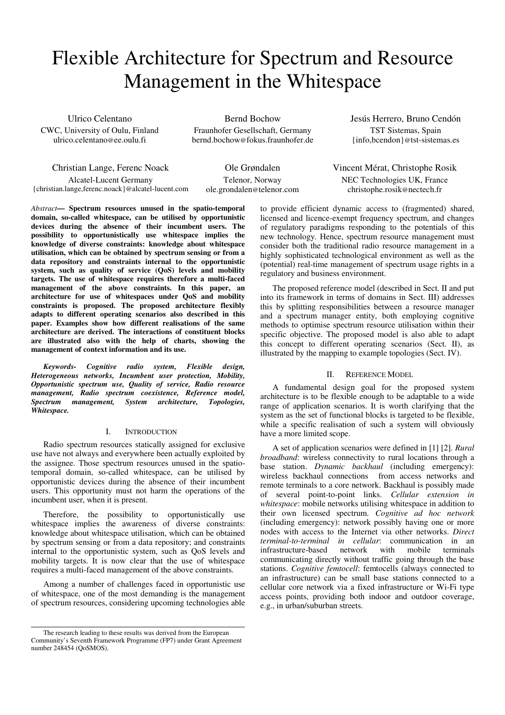# Flexible Architecture for Spectrum and Resource Management in the Whitespace

Ulrico Celentano CWC, University of Oulu, Finland ulrico.celentano@ee.oulu.fi

Bernd Bochow Fraunhofer Gesellschaft, Germany bernd.bochow@fokus.fraunhofer.de

Christian Lange, Ferenc Noack Alcatel-Lucent Germany {christian.lange,ferenc.noack}@alcatel-lucent.com

Ole Grøndalen Telenor, Norway ole.grondalen@telenor.com

*Abstract***— Spectrum resources unused in the spatio-temporal domain, so-called whitespace, can be utilised by opportunistic devices during the absence of their incumbent users. The possibility to opportunistically use whitespace implies the knowledge of diverse constraints: knowledge about whitespace utilisation, which can be obtained by spectrum sensing or from a data repository and constraints internal to the opportunistic system, such as quality of service (QoS) levels and mobility targets. The use of whitespace requires therefore a multi-faced management of the above constraints. In this paper, an architecture for use of whitespaces under QoS and mobility constraints is proposed. The proposed architecture flexibly adapts to different operating scenarios also described in this paper. Examples show how different realisations of the same architecture are derived. The interactions of constituent blocks are illustrated also with the help of charts, showing the management of context information and its use.** 

*Keywords- Cognitive radio system, Flexible design, Heterogeneous networks, Incumbent user protection, Mobility, Opportunistic spectrum use, Quality of service, Radio resource management, Radio spectrum coexistence, Reference model, Spectrum management, System architecture, Topologies, Whitespace.* 

# I. INTRODUCTION

Radio spectrum resources statically assigned for exclusive use have not always and everywhere been actually exploited by the assignee. Those spectrum resources unused in the spatiotemporal domain, so-called whitespace, can be utilised by opportunistic devices during the absence of their incumbent users. This opportunity must not harm the operations of the incumbent user, when it is present.

Therefore, the possibility to opportunistically use whitespace implies the awareness of diverse constraints: knowledge about whitespace utilisation, which can be obtained by spectrum sensing or from a data repository; and constraints internal to the opportunistic system, such as QoS levels and mobility targets. It is now clear that the use of whitespace requires a multi-faced management of the above constraints.

Among a number of challenges faced in opportunistic use of whitespace, one of the most demanding is the management of spectrum resources, considering upcoming technologies able

NEC Technologies UK, France christophe.rosik@nectech.fr to provide efficient dynamic access to (fragmented) shared,

Vincent Mérat, Christophe Rosik

Jesús Herrero, Bruno Cendón TST Sistemas, Spain {info,bcendon}@tst-sistemas.es

licensed and licence-exempt frequency spectrum, and changes of regulatory paradigms responding to the potentials of this new technology. Hence, spectrum resource management must consider both the traditional radio resource management in a highly sophisticated technological environment as well as the (potential) real-time management of spectrum usage rights in a regulatory and business environment.

The proposed reference model (described in Sect. II and put into its framework in terms of domains in Sect. III) addresses this by splitting responsibilities between a resource manager and a spectrum manager entity, both employing cognitive methods to optimise spectrum resource utilisation within their specific objective. The proposed model is also able to adapt this concept to different operating scenarios (Sect. II), as illustrated by the mapping to example topologies (Sect. IV).

# II. REFERENCE MODEL

A fundamental design goal for the proposed system architecture is to be flexible enough to be adaptable to a wide range of application scenarios. It is worth clarifying that the system as the set of functional blocks is targeted to be flexible, while a specific realisation of such a system will obviously have a more limited scope.

A set of application scenarios were defined in [1] [2]. *Rural broadband*: wireless connectivity to rural locations through a base station. *Dynamic backhaul* (including emergency): wireless backhaul connections from access networks and remote terminals to a core network. Backhaul is possibly made of several point-to-point links. *Cellular extension in whitespace*: mobile networks utilising whitespace in addition to their own licensed spectrum. *Cognitive ad hoc network* (including emergency): network possibly having one or more nodes with access to the Internet via other networks. *Direct terminal-to-terminal in cellular*: communication in an infrastructure-based network with mobile terminals communicating directly without traffic going through the base stations. *Cognitive femtocell*: femtocells (always connected to an infrastructure) can be small base stations connected to a cellular core network via a fixed infrastructure or Wi-Fi type access points, providing both indoor and outdoor coverage, e.g., in urban/suburban streets.

The research leading to these results was derived from the European Community's Seventh Framework Programme (FP7) under Grant Agreement number 248454 (QoSMOS).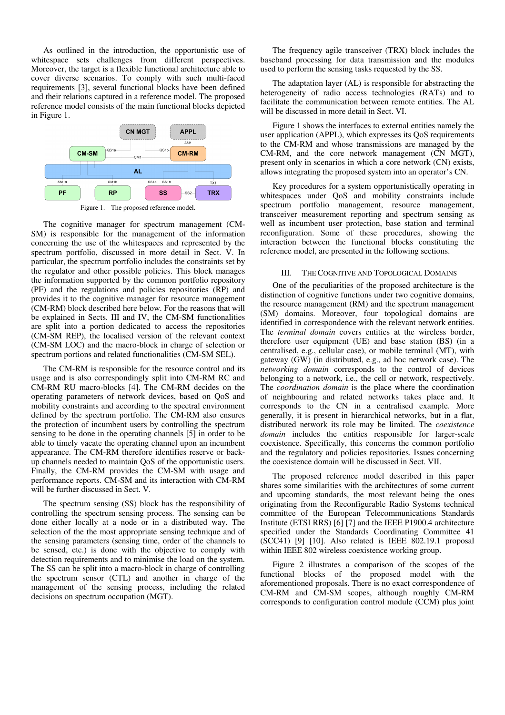As outlined in the introduction, the opportunistic use of whitespace sets challenges from different perspectives. Moreover, the target is a flexible functional architecture able to cover diverse scenarios. To comply with such multi-faced requirements [3], several functional blocks have been defined and their relations captured in a reference model. The proposed reference model consists of the main functional blocks depicted in Figure 1.



Figure 1. The proposed reference model.

The cognitive manager for spectrum management (CM-SM) is responsible for the management of the information concerning the use of the whitespaces and represented by the spectrum portfolio, discussed in more detail in Sect. V. In particular, the spectrum portfolio includes the constraints set by the regulator and other possible policies. This block manages the information supported by the common portfolio repository (PF) and the regulations and policies repositories (RP) and provides it to the cognitive manager for resource management (CM-RM) block described here below. For the reasons that will be explained in Sects. III and IV, the CM-SM functionalities are split into a portion dedicated to access the repositories (CM-SM REP), the localised version of the relevant context (CM-SM LOC) and the macro-block in charge of selection or spectrum portions and related functionalities (CM-SM SEL).

The CM-RM is responsible for the resource control and its usage and is also correspondingly split into CM-RM RC and CM-RM RU macro-blocks [4]. The CM-RM decides on the operating parameters of network devices, based on QoS and mobility constraints and according to the spectral environment defined by the spectrum portfolio. The CM-RM also ensures the protection of incumbent users by controlling the spectrum sensing to be done in the operating channels [5] in order to be able to timely vacate the operating channel upon an incumbent appearance. The CM-RM therefore identifies reserve or backup channels needed to maintain QoS of the opportunistic users. Finally, the CM-RM provides the CM-SM with usage and performance reports. CM-SM and its interaction with CM-RM will be further discussed in Sect. V.

The spectrum sensing (SS) block has the responsibility of controlling the spectrum sensing process. The sensing can be done either locally at a node or in a distributed way. The selection of the the most appropriate sensing technique and of the sensing parameters (sensing time, order of the channels to be sensed, etc.) is done with the objective to comply with detection requirements and to minimise the load on the system. The SS can be split into a macro-block in charge of controlling the spectrum sensor (CTL) and another in charge of the management of the sensing process, including the related decisions on spectrum occupation (MGT).

The frequency agile transceiver (TRX) block includes the baseband processing for data transmission and the modules used to perform the sensing tasks requested by the SS.

The adaptation layer (AL) is responsible for abstracting the heterogeneity of radio access technologies (RATs) and to facilitate the communication between remote entities. The AL will be discussed in more detail in Sect. VI.

Figure 1 shows the interfaces to external entities namely the user application (APPL), which expresses its QoS requirements to the CM-RM and whose transmissions are managed by the CM-RM, and the core network management (CN MGT), present only in scenarios in which a core network (CN) exists, allows integrating the proposed system into an operator's CN.

Key procedures for a system opportunistically operating in whitespaces under QoS and mobility constraints include spectrum portfolio management, resource management, transceiver measurement reporting and spectrum sensing as well as incumbent user protection, base station and terminal reconfiguration. Some of these procedures, showing the interaction between the functional blocks constituting the reference model, are presented in the following sections.

## III. THE COGNITIVE AND TOPOLOGICAL DOMAINS

One of the peculiarities of the proposed architecture is the distinction of cognitive functions under two cognitive domains, the resource management (RM) and the spectrum management (SM) domains. Moreover, four topological domains are identified in correspondence with the relevant network entities. The *terminal domain* covers entities at the wireless border, therefore user equipment (UE) and base station (BS) (in a centralised, e.g., cellular case), or mobile terminal (MT), with gateway (GW) (in distributed, e.g., ad hoc network case). The *networking domain* corresponds to the control of devices belonging to a network, i.e., the cell or network, respectively. The *coordination domain* is the place where the coordination of neighbouring and related networks takes place and. It corresponds to the CN in a centralised example. More generally, it is present in hierarchical networks, but in a flat, distributed network its role may be limited. The *coexistence domain* includes the entities responsible for larger-scale coexistence. Specifically, this concerns the common portfolio and the regulatory and policies repositories. Issues concerning the coexistence domain will be discussed in Sect. VII.

The proposed reference model described in this paper shares some similarities with the architectures of some current and upcoming standards, the most relevant being the ones originating from the Reconfigurable Radio Systems technical committee of the European Telecommunications Standards Institute (ETSI RRS) [6] [7] and the IEEE P1900.4 architecture specified under the Standards Coordinating Committee 41 (SCC41) [9] [10]. Also related is IEEE 802.19.1 proposal within IEEE 802 wireless coexistence working group.

Figure 2 illustrates a comparison of the scopes of the functional blocks of the proposed model with the aforementioned proposals. There is no exact correspondence of CM-RM and CM-SM scopes, although roughly CM-RM corresponds to configuration control module (CCM) plus joint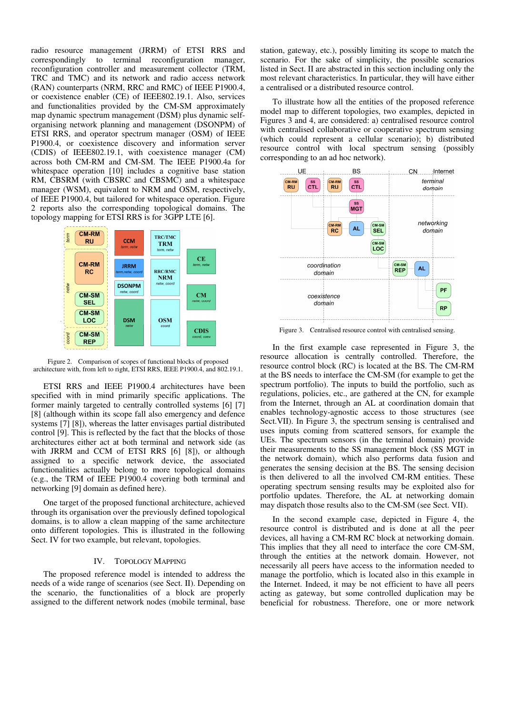radio resource management (JRRM) of ETSI RRS and correspondingly to terminal reconfiguration manager, reconfiguration controller and measurement collector (TRM, TRC and TMC) and its network and radio access network (RAN) counterparts (NRM, RRC and RMC) of IEEE P1900.4, or coexistence enabler (CE) of IEEE802.19.1. Also, services and functionalities provided by the CM-SM approximately map dynamic spectrum management (DSM) plus dynamic selforganising network planning and management (DSONPM) of ETSI RRS, and operator spectrum manager (OSM) of IEEE P1900.4, or coexistence discovery and information server (CDIS) of IEEE802.19.1, with coexistence manager (CM) across both CM-RM and CM-SM. The IEEE P1900.4a for whitespace operation [10] includes a cognitive base station RM, CBSRM (with CBSRC and CBSMC) and a whitespace manager (WSM), equivalent to NRM and OSM, respectively, of IEEE P1900.4, but tailored for whitespace operation. Figure 2 reports also the corresponding topological domains. The topology mapping for ETSI RRS is for 3GPP LTE [6].



Figure 2. Comparison of scopes of functional blocks of proposed architecture with, from left to right, ETSI RRS, IEEE P1900.4, and 802.19.1.

ETSI RRS and IEEE P1900.4 architectures have been specified with in mind primarily specific applications. The former mainly targeted to centrally controlled systems [6] [7] [8] (although within its scope fall also emergency and defence systems [7] [8]), whereas the latter envisages partial distributed control [9]. This is reflected by the fact that the blocks of those architectures either act at both terminal and network side (as with JRRM and CCM of ETSI RRS [6] [8]), or although assigned to a specific network device, the associated functionalities actually belong to more topological domains (e.g., the TRM of IEEE P1900.4 covering both terminal and networking [9] domain as defined here).

One target of the proposed functional architecture, achieved through its organisation over the previously defined topological domains, is to allow a clean mapping of the same architecture onto different topologies. This is illustrated in the following Sect. IV for two example, but relevant, topologies.

### IV. TOPOLOGY MAPPING

The proposed reference model is intended to address the needs of a wide range of scenarios (see Sect. II). Depending on the scenario, the functionalities of a block are properly assigned to the different network nodes (mobile terminal, base station, gateway, etc.), possibly limiting its scope to match the scenario. For the sake of simplicity, the possible scenarios listed in Sect. II are abstracted in this section including only the most relevant characteristics. In particular, they will have either a centralised or a distributed resource control.

To illustrate how all the entities of the proposed reference model map to different topologies, two examples, depicted in Figures 3 and 4, are considered: a) centralised resource control with centralised collaborative or cooperative spectrum sensing (which could represent a cellular scenario); b) distributed resource control with local spectrum sensing (possibly corresponding to an ad hoc network).



Figure 3. Centralised resource control with centralised sensing.

In the first example case represented in Figure 3, the resource allocation is centrally controlled. Therefore, the resource control block (RC) is located at the BS. The CM-RM at the BS needs to interface the CM-SM (for example to get the spectrum portfolio). The inputs to build the portfolio, such as regulations, policies, etc., are gathered at the CN, for example from the Internet, through an AL at coordination domain that enables technology-agnostic access to those structures (see Sect.VII). In Figure 3, the spectrum sensing is centralised and uses inputs coming from scattered sensors, for example the UEs. The spectrum sensors (in the terminal domain) provide their measurements to the SS management block (SS MGT in the network domain), which also performs data fusion and generates the sensing decision at the BS. The sensing decision is then delivered to all the involved CM-RM entities. These operating spectrum sensing results may be exploited also for portfolio updates. Therefore, the AL at networking domain may dispatch those results also to the CM-SM (see Sect. VII).

In the second example case, depicted in Figure 4, the resource control is distributed and is done at all the peer devices, all having a CM-RM RC block at networking domain. This implies that they all need to interface the core CM-SM, through the entities at the network domain. However, not necessarily all peers have access to the information needed to manage the portfolio, which is located also in this example in the Internet. Indeed, it may be not efficient to have all peers acting as gateway, but some controlled duplication may be beneficial for robustness. Therefore, one or more network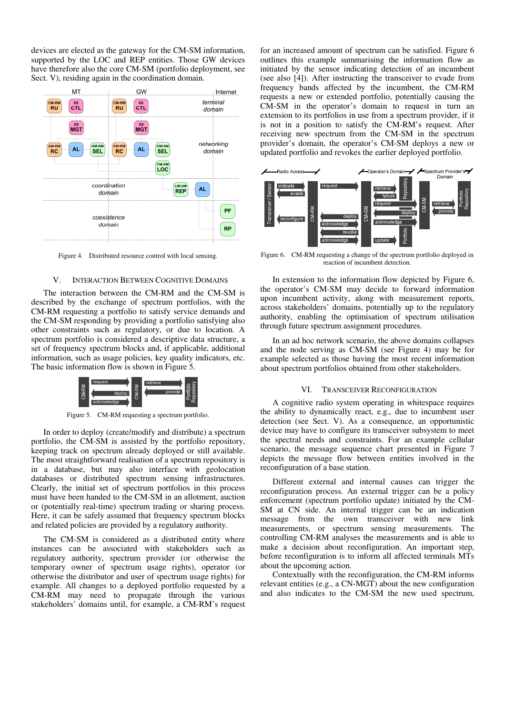devices are elected as the gateway for the CM-SM information, supported by the LOC and REP entities. Those GW devices have therefore also the core CM-SM (portfolio deployment, see Sect. V), residing again in the coordination domain.



Figure 4. Distributed resource control with local sensing.

# V. INTERACTION BETWEEN COGNITIVE DOMAINS

The interaction between the CM-RM and the CM-SM is described by the exchange of spectrum portfolios, with the CM-RM requesting a portfolio to satisfy service demands and the CM-SM responding by providing a portfolio satisfying also other constraints such as regulatory, or due to location. A spectrum portfolio is considered a descriptive data structure, a set of frequency spectrum blocks and, if applicable, additional information, such as usage policies, key quality indicators, etc. The basic information flow is shown in Figure 5.



Figure 5. CM-RM requesting a spectrum portfolio.

In order to deploy (create/modify and distribute) a spectrum portfolio, the CM-SM is assisted by the portfolio repository, keeping track on spectrum already deployed or still available. The most straightforward realisation of a spectrum repository is in a database, but may also interface with geolocation databases or distributed spectrum sensing infrastructures. Clearly, the initial set of spectrum portfolios in this process must have been handed to the CM-SM in an allotment, auction or (potentially real-time) spectrum trading or sharing process. Here, it can be safely assumed that frequency spectrum blocks and related policies are provided by a regulatory authority.

The CM-SM is considered as a distributed entity where instances can be associated with stakeholders such as regulatory authority, spectrum provider (or otherwise the temporary owner of spectrum usage rights), operator (or otherwise the distributor and user of spectrum usage rights) for example. All changes to a deployed portfolio requested by a CM-RM may need to propagate through the various stakeholders' domains until, for example, a CM-RM's request for an increased amount of spectrum can be satisfied. Figure 6 outlines this example summarising the information flow as initiated by the sensor indicating detection of an incumbent (see also [4]). After instructing the transceiver to evade from frequency bands affected by the incumbent, the CM-RM requests a new or extended portfolio, potentially causing the CM-SM in the operator's domain to request in turn an extension to its portfolios in use from a spectrum provider, if it is not in a position to satisfy the CM-RM's request. After receiving new spectrum from the CM-SM in the spectrum provider's domain, the operator's CM-SM deploys a new or updated portfolio and revokes the earlier deployed portfolio.



Figure 6. CM-RM requesting a change of the spectrum portfolio deployed in reaction of incumbent detection.

In extension to the information flow depicted by Figure 6, the operator's CM-SM may decide to forward information upon incumbent activity, along with measurement reports, across stakeholders' domains, potentially up to the regulatory authority, enabling the optimisation of spectrum utilisation through future spectrum assignment procedures.

In an ad hoc network scenario, the above domains collapses and the node serving as CM-SM (see Figure 4) may be for example selected as those having the most recent information about spectrum portfolios obtained from other stakeholders.

#### VI. TRANSCEIVER RECONFIGURATION

A cognitive radio system operating in whitespace requires the ability to dynamically react, e.g., due to incumbent user detection (see Sect. V). As a consequence, an opportunistic device may have to configure its transceiver subsystem to meet the spectral needs and constraints. For an example cellular scenario, the message sequence chart presented in Figure 7 depicts the message flow between entities involved in the reconfiguration of a base station.

Different external and internal causes can trigger the reconfiguration process. An external trigger can be a policy enforcement (spectrum portfolio update) initiated by the CM-SM at CN side. An internal trigger can be an indication message from the own transceiver with new link measurements, or spectrum sensing measurements. The controlling CM-RM analyses the measurements and is able to make a decision about reconfiguration. An important step, before reconfiguration is to inform all affected terminals MTs about the upcoming action.

Contextually with the reconfiguration, the CM-RM informs relevant entities (e.g., a CN-MGT) about the new configuration and also indicates to the CM-SM the new used spectrum,